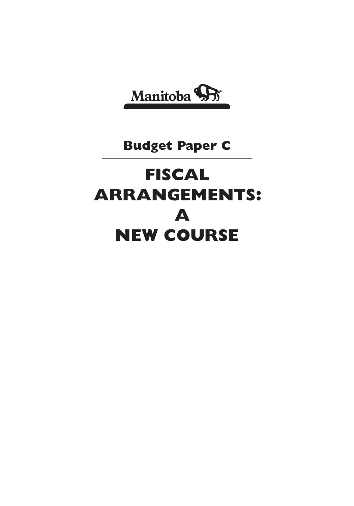

## **Budget Paper C**

# **FISCAL ARRANGEMENTS: A NEW COURSE**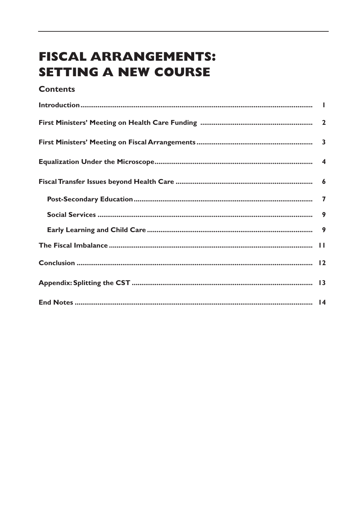## **FISCAL ARRANGEMENTS: SETTING A NEW COURSE**

**Contents**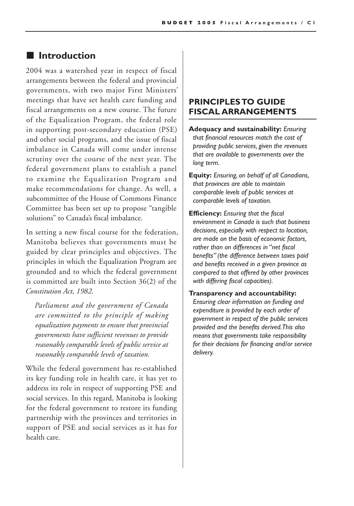### ■ **Introduction**

2004 was a watershed year in respect of fiscal arrangements between the federal and provincial governments, with two major First Ministers' meetings that have set health care funding and fiscal arrangements on a new course. The future of the Equalization Program, the federal role in supporting post-secondary education (PSE) and other social programs, and the issue of fiscal imbalance in Canada will come under intense scrutiny over the course of the next year. The federal government plans to establish a panel to examine the Equalization Program and make recommendations for change. As well, a subcommittee of the House of Commons Finance Committee has been set up to propose "tangible solutions" to Canada's fiscal imbalance.

In setting a new fiscal course for the federation, Manitoba believes that governments must be guided by clear principles and objectives. The principles in which the Equalization Program are grounded and to which the federal government is committed are built into Section 36(2) of the *Constitution Act, 1982*.

*Parliament and the government of Canada are committed to the principle of making equalization payments to ensure that provincial governments have sufficient revenues to provide reasonably comparable levels of public service at reasonably comparable levels of taxation.* 

While the federal government has re-established its key funding role in health care, it has yet to address its role in respect of supporting PSE and social services. In this regard, Manitoba is looking for the federal government to restore its funding partnership with the provinces and territories in support of PSE and social services as it has for health care.

#### **PRINCIPLES TO GUIDE FISCAL ARRANGEMENTS**

- **Adequacy and sustainability:** *Ensuring that financial resources match the cost of providing public services, given the revenues that are available to governments over the long term.*
- **Equity:** *Ensuring, on behalf of all Canadians, that provinces are able to maintain comparable levels of public services at comparable levels of taxation.*
- **Efficiency:** *Ensuring that the fiscal environment in Canada is such that business decisions, especially with respect to location, are made on the basis of economic factors, rather than on differences in "net fiscal benefits" (the difference between taxes paid and benefits received in a given province as compared to that offered by other provinces with differing fiscal capacities).*
- **Transparency and accountability:** *Ensuring clear information on funding and expenditure is provided by each order of government in respect of the public services provided and the benefits derived. This also means that governments take responsibility for their decisions for financing and/or service delivery.*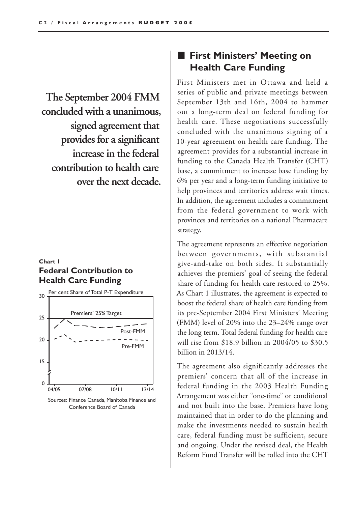**The September 2004 FMM concluded with a unanimous, signed agreement that provides for a significant increase in the federal contribution to health care over the next decade.** 

#### **Chart 1 Federal Contribution to Health Care Funding**



Sources: Finance Canada, Manitoba Finance and Conference Board of Canada

## ■ **First Ministers' Meeting on Health Care Funding**

First Ministers met in Ottawa and held a series of public and private meetings between September 13th and 16th, 2004 to hammer out a long-term deal on federal funding for health care. These negotiations successfully concluded with the unanimous signing of a 10-year agreement on health care funding. The agreement provides for a substantial increase in funding to the Canada Health Transfer (CHT) base, a commitment to increase base funding by 6% per year and a long-term funding initiative to help provinces and territories address wait times. In addition, the agreement includes a commitment from the federal government to work with provinces and territories on a national Pharmacare strategy.

The agreement represents an effective negotiation between governments, with substantial give-and-take on both sides. It substantially achieves the premiers' goal of seeing the federal share of funding for health care restored to 25%. As Chart 1 illustrates, the agreement is expected to boost the federal share of health care funding from its pre-September 2004 First Ministers' Meeting (FMM) level of 20% into the 23–24% range over the long term. Total federal funding for health care will rise from \$18.9 billion in 2004/05 to \$30.5 billion in 2013/14.

The agreement also significantly addresses the premiers' concern that all of the increase in federal funding in the 2003 Health Funding Arrangement was either "one-time" or conditional and not built into the base. Premiers have long maintained that in order to do the planning and make the investments needed to sustain health care, federal funding must be sufficient, secure and ongoing. Under the revised deal, the Health Reform Fund Transfer will be rolled into the CHT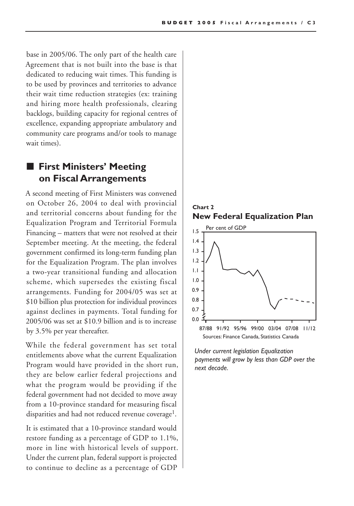base in 2005/06. The only part of the health care Agreement that is not built into the base is that dedicated to reducing wait times. This funding is to be used by provinces and territories to advance their wait time reduction strategies (ex: training and hiring more health professionals, clearing backlogs, building capacity for regional centres of excellence, expanding appropriate ambulatory and community care programs and/or tools to manage wait times).

## ■ First Ministers' Meeting **on Fiscal Arrangements**

A second meeting of First Ministers was convened on October 26, 2004 to deal with provincial and territorial concerns about funding for the Equalization Program and Territorial Formula Financing – matters that were not resolved at their September meeting. At the meeting, the federal government confirmed its long-term funding plan for the Equalization Program. The plan involves a two-year transitional funding and allocation scheme, which supersedes the existing fiscal arrangements. Funding for 2004/05 was set at \$10 billion plus protection for individual provinces against declines in payments. Total funding for 2005/06 was set at \$10.9 billion and is to increase by 3.5% per year thereafter.

While the federal government has set total entitlements above what the current Equalization Program would have provided in the short run, they are below earlier federal projections and what the program would be providing if the federal government had not decided to move away from a 10-province standard for measuring fiscal disparities and had not reduced revenue coverage<sup>1</sup>.

It is estimated that a 10-province standard would restore funding as a percentage of GDP to 1.1%, more in line with historical levels of support. Under the current plan, federal support is projected to continue to decline as a percentage of GDP





*Under current legislation Equalization payments will grow by less than GDP over the next decade.*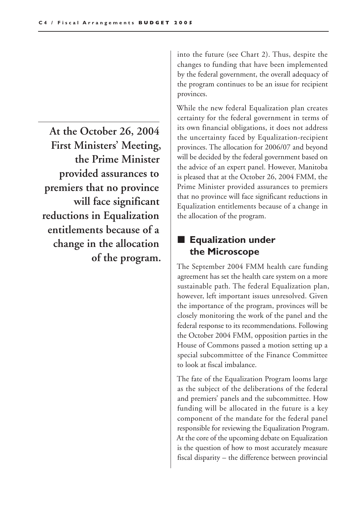**At the October 26, 2004 First Ministers' Meeting, the Prime Minister provided assurances to premiers that no province will face significant reductions in Equalization entitlements because of a change in the allocation of the program.**

into the future (see Chart 2). Thus, despite the changes to funding that have been implemented by the federal government, the overall adequacy of the program continues to be an issue for recipient provinces.

While the new federal Equalization plan creates certainty for the federal government in terms of its own financial obligations, it does not address the uncertainty faced by Equalization-recipient provinces. The allocation for 2006/07 and beyond will be decided by the federal government based on the advice of an expert panel. However, Manitoba is pleased that at the October 26, 2004 FMM, the Prime Minister provided assurances to premiers that no province will face significant reductions in Equalization entitlements because of a change in the allocation of the program.

## ■ Equalization under **the Microscope**

The September 2004 FMM health care funding agreement has set the health care system on a more sustainable path. The federal Equalization plan, however, left important issues unresolved. Given the importance of the program, provinces will be closely monitoring the work of the panel and the federal response to its recommendations. Following the October 2004 FMM, opposition parties in the House of Commons passed a motion setting up a special subcommittee of the Finance Committee to look at fiscal imbalance.

The fate of the Equalization Program looms large as the subject of the deliberations of the federal and premiers' panels and the subcommittee. How funding will be allocated in the future is a key component of the mandate for the federal panel responsible for reviewing the Equalization Program. At the core of the upcoming debate on Equalization is the question of how to most accurately measure fiscal disparity – the difference between provincial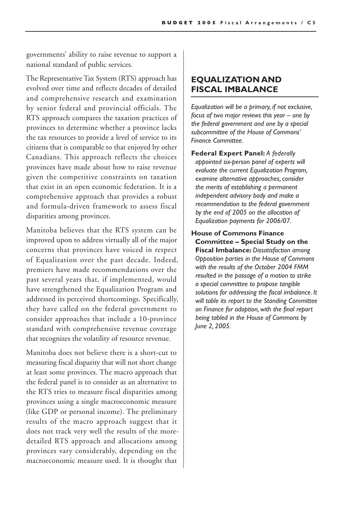governments' ability to raise revenue to support a national standard of public services.

The Representative Tax System (RTS) approach has evolved over time and reflects decades of detailed and comprehensive research and examination by senior federal and provincial officials. The RTS approach compares the taxation practices of provinces to determine whether a province lacks the tax resources to provide a level of service to its citizens that is comparable to that enjoyed by other Canadians. This approach reflects the choices provinces have made about how to raise revenue given the competitive constraints on taxation that exist in an open economic federation. It is a comprehensive approach that provides a robust and formula-driven framework to assess fiscal disparities among provinces.

Manitoba believes that the RTS system can be improved upon to address virtually all of the major concerns that provinces have voiced in respect of Equalization over the past decade. Indeed, premiers have made recommendations over the past several years that, if implemented, would have strengthened the Equalization Program and addressed its perceived shortcomings. Specifically, they have called on the federal government to consider approaches that include a 10-province standard with comprehensive revenue coverage that recognizes the volatility of resource revenue.

Manitoba does not believe there is a short-cut to measuring fiscal disparity that will not short change at least some provinces. The macro approach that the federal panel is to consider as an alternative to the RTS tries to measure fiscal disparities among provinces using a single macroeconomic measure (like GDP or personal income). The preliminary results of the macro approach suggest that it does not track very well the results of the moredetailed RTS approach and allocations among provinces vary considerably, depending on the macroeconomic measure used. It is thought that

#### **EQUALIZATION AND FISCAL IMBALANCE**

*Equalization will be a primary, if not exclusive, focus of two major reviews this year – one by the federal government and one by a special subcommittee of the House of Commons' Finance Committee.*

**Federal Expert Panel:** *A federally appointed six-person panel of experts will evaluate the current Equalization Program, examine alternative approaches, consider the merits of establishing a permanent independent advisory body and make a recommendation to the federal government by the end of 2005 on the allocation of Equalization payments for 2006/07.*

**House of Commons Finance Committee – Special Study on the Fiscal Imbalance:** *Dissatisfaction among Opposition parties in the House of Commons with the results of the October 2004 FMM resulted in the passage of a motion to strike a special committee to propose tangible solutions for addressing the fiscal imbalance. It will table its report to the Standing Committee on Finance for adoption, with the final report being tabled in the House of Commons by June 2, 2005.*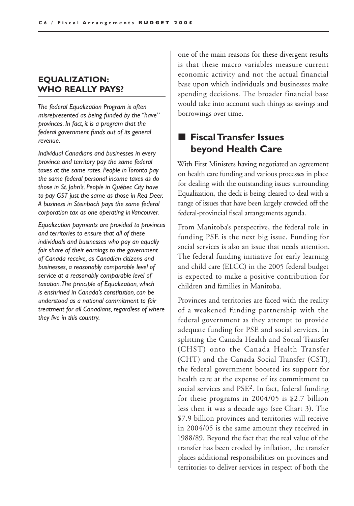#### **EQUALIZATION: WHO REALLY PAYS?**

*The federal Equalization Program is often misrepresented as being funded by the "have" provinces. In fact, it is a program that the federal government funds out of its general revenue.* 

*Individual Canadians and businesses in every province and territory pay the same federal taxes at the same rates. People in Toronto pay the same federal personal income taxes as do those in St. John's. People in Québec City have to pay GST just the same as those in Red Deer. A business in Steinbach pays the same federal corporation tax as one operating in Vancouver.*

*Equalization payments are provided to provinces and territories to ensure that all of these individuals and businesses who pay an equally fair share of their earnings to the government of Canada receive, as Canadian citizens and businesses, a reasonably comparable level of service at a reasonably comparable level of taxation. The principle of Equalization, which is enshrined in Canada's constitution, can be understood as a national commitment to fair treatment for all Canadians, regardless of where they live in this country.*

one of the main reasons for these divergent results is that these macro variables measure current economic activity and not the actual financial base upon which individuals and businesses make spending decisions. The broader financial base would take into account such things as savings and borrowings over time.

## ■ **Fiscal Transfer Issues beyond Health Care**

With First Ministers having negotiated an agreement on health care funding and various processes in place for dealing with the outstanding issues surrounding Equalization, the deck is being cleared to deal with a range of issues that have been largely crowded off the federal-provincial fiscal arrangements agenda.

From Manitoba's perspective, the federal role in funding PSE is the next big issue. Funding for social services is also an issue that needs attention. The federal funding initiative for early learning and child care (ELCC) in the 2005 federal budget is expected to make a positive contribution for children and families in Manitoba.

Provinces and territories are faced with the reality of a weakened funding partnership with the federal government as they attempt to provide adequate funding for PSE and social services. In splitting the Canada Health and Social Transfer (CHST) onto the Canada Health Transfer (CHT) and the Canada Social Transfer (CST), the federal government boosted its support for health care at the expense of its commitment to social services and PSE<sup>2</sup>. In fact, federal funding for these programs in 2004/05 is \$2.7 billion less then it was a decade ago (see Chart 3). The \$7.9 billion provinces and territories will receive in 2004/05 is the same amount they received in 1988/89. Beyond the fact that the real value of the transfer has been eroded by inflation, the transfer places additional responsibilities on provinces and territories to deliver services in respect of both the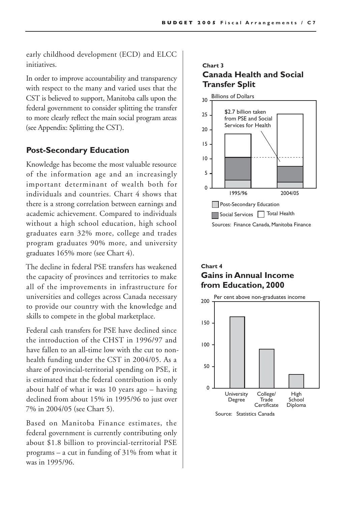early childhood development (ECD) and ELCC initiatives.

In order to improve accountability and transparency with respect to the many and varied uses that the CST is believed to support, Manitoba calls upon the federal government to consider splitting the transfer to more clearly reflect the main social program areas (see Appendix: Splitting the CST).

#### **Post-Secondary Education**

Knowledge has become the most valuable resource of the information age and an increasingly important determinant of wealth both for individuals and countries. Chart 4 shows that there is a strong correlation between earnings and academic achievement. Compared to individuals without a high school education, high school graduates earn 32% more, college and trades program graduates 90% more, and university graduates 165% more (see Chart 4).

The decline in federal PSE transfers has weakened the capacity of provinces and territories to make all of the improvements in infrastructure for universities and colleges across Canada necessary to provide our country with the knowledge and skills to compete in the global marketplace.

Federal cash transfers for PSE have declined since the introduction of the CHST in 1996/97 and have fallen to an all-time low with the cut to nonhealth funding under the CST in 2004/05. As a share of provincial-territorial spending on PSE, it is estimated that the federal contribution is only about half of what it was 10 years ago – having declined from about 15% in 1995/96 to just over 7% in 2004/05 (see Chart 5).

Based on Manitoba Finance estimates, the federal government is currently contributing only about \$1.8 billion to provincial-territorial PSE programs – a cut in funding of 31% from what it was in 1995/96.

#### **Chart 3 Canada Health and Social Transfer Split**



#### **Chart 4 Gains in Annual Income from Education, 2000**

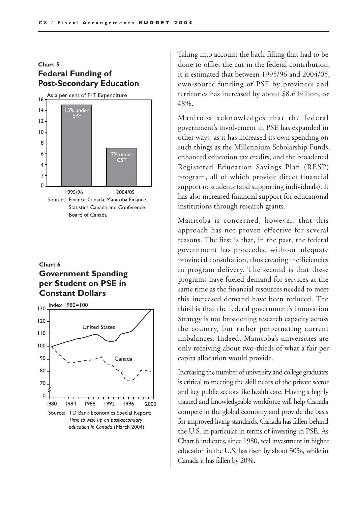#### **Chart 5 Federal Funding of Post-Secondary Education**



#### **Chart 6 Government Spending per Student on PSE in Constant Dollars**



Taking into account the back-filling that had to be done to offset the cut in the federal contribution, it is estimated that between 1995/96 and 2004/05, own-source funding of PSE by provinces and territories has increased by about \$8.6 billion, or 48%.

Manitoba acknowledges that the federal government's involvement in PSE has expanded in other ways, as it has increased its own spending on such things as the Millennium Scholarship Funds, enhanced education tax credits, and the broadened Registered Education Savings Plan (RESP) program, all of which provide direct financial support to students (and supporting individuals). It has also increased financial support for educational institutions through research grants.

Manitoba is concerned, however, that this approach has not proven effective for several reasons. The first is that, in the past, the federal government has proceeded without adequate provincial consultation, thus creating inefficiencies in program delivery. The second is that these programs have fueled demand for services at the same time as the financial resources needed to meet this increased demand have been reduced. The third is that the federal government's Innovation Strategy is not broadening research capacity across the country, but rather perpetuating current imbalances. Indeed, Manitoba's universities are only receiving about two-thirds of what a fair per capita allocation would provide.

Increasing the number of university and college graduates is critical to meeting the skill needs of the private sector and key public sectors like health care. Having a highly trained and knowledgeable workforce will help Canada compete in the global economy and provide the basis for improved living standards. Canada has fallen behind the U.S. in particular in terms of investing in PSE. As Chart 6 indicates, since 1980, real investment in higher education in the U.S. has risen by about 30%, while in Canada it has fallen by 20%.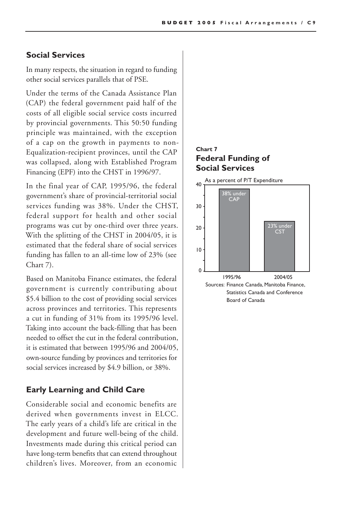#### **Social Services**

In many respects, the situation in regard to funding other social services parallels that of PSE.

Under the terms of the Canada Assistance Plan (CAP) the federal government paid half of the costs of all eligible social service costs incurred by provincial governments. This 50:50 funding principle was maintained, with the exception of a cap on the growth in payments to non-Equalization-recipient provinces, until the CAP was collapsed, along with Established Program Financing (EPF) into the CHST in 1996/97.

In the final year of CAP, 1995/96, the federal government's share of provincial-territorial social services funding was 38%. Under the CHST, federal support for health and other social programs was cut by one-third over three years. With the splitting of the CHST in 2004/05, it is estimated that the federal share of social services funding has fallen to an all-time low of 23% (see Chart 7).

Based on Manitoba Finance estimates, the federal government is currently contributing about \$5.4 billion to the cost of providing social services across provinces and territories. This represents a cut in funding of 31% from its 1995/96 level. Taking into account the back-filling that has been needed to offset the cut in the federal contribution, it is estimated that between 1995/96 and 2004/05, own-source funding by provinces and territories for social services increased by \$4.9 billion, or 38%.

#### **Early Learning and Child Care**

Considerable social and economic benefits are derived when governments invest in ELCC. The early years of a child's life are critical in the development and future well-being of the child. Investments made during this critical period can have long-term benefits that can extend throughout children's lives. Moreover, from an economic

#### **Chart 7 Federal Funding of Social Services**

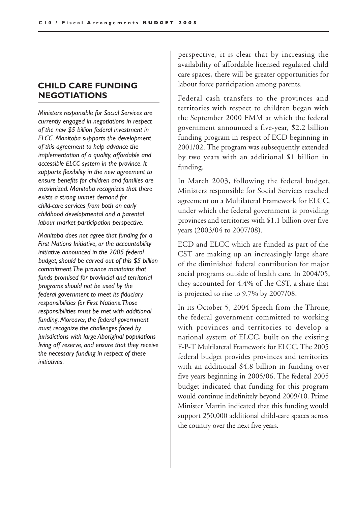#### **CHILD CARE FUNDING NEGOTIATIONS**

*Ministers responsible for Social Services are currently engaged in negotiations in respect of the new \$5 billion federal investment in ELCC. Manitoba supports the development of this agreement to help advance the implementation of a quality, affordable and accessible ELCC system in the province. It supports flexibility in the new agreement to ensure benefits for children and families are maximized. Manitoba recognizes that there exists a strong unmet demand for child-care services from both an early childhood developmental and a parental labour market participation perspective.*

*Manitoba does not agree that funding for a First Nations Initiative, or the accountability initiative announced in the 2005 federal budget, should be carved out of this \$5 billion commitment. The province maintains that funds promised for provincial and territorial programs should not be used by the federal government to meet its fiduciary responsibilities for First Nations. Those responsibilities must be met with additional funding. Moreover, the federal government must recognize the challenges faced by jurisdictions with large Aboriginal populations living off reserve, and ensure that they receive the necessary funding in respect of these initiatives.*

perspective, it is clear that by increasing the availability of affordable licensed regulated child care spaces, there will be greater opportunities for labour force participation among parents.

Federal cash transfers to the provinces and territories with respect to children began with the September 2000 FMM at which the federal government announced a five-year, \$2.2 billion funding program in respect of ECD beginning in 2001/02. The program was subsequently extended by two years with an additional \$1 billion in funding.

In March 2003, following the federal budget, Ministers responsible for Social Services reached agreement on a Multilateral Framework for ELCC, under which the federal government is providing provinces and territories with \$1.1 billion over five years (2003/04 to 2007/08).

ECD and ELCC which are funded as part of the CST are making up an increasingly large share of the diminished federal contribution for major social programs outside of health care. In 2004/05, they accounted for 4.4% of the CST, a share that is projected to rise to 9.7% by 2007/08.

In its October 5, 2004 Speech from the Throne, the federal government committed to working with provinces and territories to develop a national system of ELCC, built on the existing F-P-T Multilateral Framework for ELCC. The 2005 federal budget provides provinces and territories with an additional \$4.8 billion in funding over five years beginning in 2005/06. The federal 2005 budget indicated that funding for this program would continue indefinitely beyond 2009/10. Prime Minister Martin indicated that this funding would support 250,000 additional child-care spaces across the country over the next five years.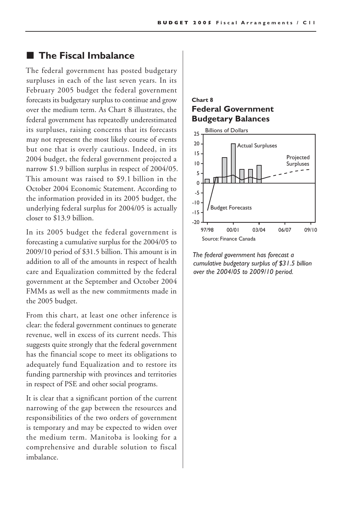### ■ **The Fiscal Imbalance**

The federal government has posted budgetary surpluses in each of the last seven years. In its February 2005 budget the federal government forecasts its budgetary surplus to continue and grow over the medium term. As Chart 8 illustrates, the federal government has repeatedly underestimated its surpluses, raising concerns that its forecasts may not represent the most likely course of events but one that is overly cautious. Indeed, in its 2004 budget, the federal government projected a narrow \$1.9 billion surplus in respect of 2004/05. This amount was raised to \$9.1 billion in the October 2004 Economic Statement. According to the information provided in its 2005 budget, the underlying federal surplus for 2004/05 is actually closer to \$13.9 billion.

In its 2005 budget the federal government is forecasting a cumulative surplus for the 2004/05 to 2009/10 period of \$31.5 billion. This amount is in addition to all of the amounts in respect of health care and Equalization committed by the federal government at the September and October 2004 FMMs as well as the new commitments made in the 2005 budget.

From this chart, at least one other inference is clear: the federal government continues to generate revenue, well in excess of its current needs. This suggests quite strongly that the federal government has the financial scope to meet its obligations to adequately fund Equalization and to restore its funding partnership with provinces and territories in respect of PSE and other social programs.

It is clear that a significant portion of the current narrowing of the gap between the resources and responsibilities of the two orders of government is temporary and may be expected to widen over the medium term. Manitoba is looking for a comprehensive and durable solution to fiscal imbalance.

#### **Chart 8 Federal Government Budgetary Balances**



*The federal government has forecast a cumulative budgetary surplus of \$31.5 billion over the 2004/05 to 2009/10 period.*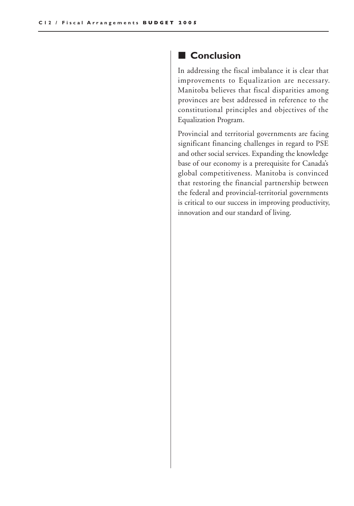## ■ **Conclusion**

In addressing the fiscal imbalance it is clear that improvements to Equalization are necessary. Manitoba believes that fiscal disparities among provinces are best addressed in reference to the constitutional principles and objectives of the Equalization Program.

Provincial and territorial governments are facing significant financing challenges in regard to PSE and other social services. Expanding the knowledge base of our economy is a prerequisite for Canada's global competitiveness. Manitoba is convinced that restoring the financial partnership between the federal and provincial-territorial governments is critical to our success in improving productivity, innovation and our standard of living.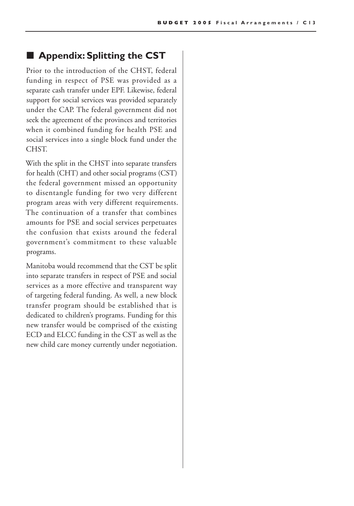## ■ **Appendix: Splitting the CST**

Prior to the introduction of the CHST, federal funding in respect of PSE was provided as a separate cash transfer under EPF. Likewise, federal support for social services was provided separately under the CAP. The federal government did not seek the agreement of the provinces and territories when it combined funding for health PSE and social services into a single block fund under the CHST.

With the split in the CHST into separate transfers for health (CHT) and other social programs (CST) the federal government missed an opportunity to disentangle funding for two very different program areas with very different requirements. The continuation of a transfer that combines amounts for PSE and social services perpetuates the confusion that exists around the federal government's commitment to these valuable programs.

Manitoba would recommend that the CST be split into separate transfers in respect of PSE and social services as a more effective and transparent way of targeting federal funding. As well, a new block transfer program should be established that is dedicated to children's programs. Funding for this new transfer would be comprised of the existing ECD and ELCC funding in the CST as well as the new child care money currently under negotiation.